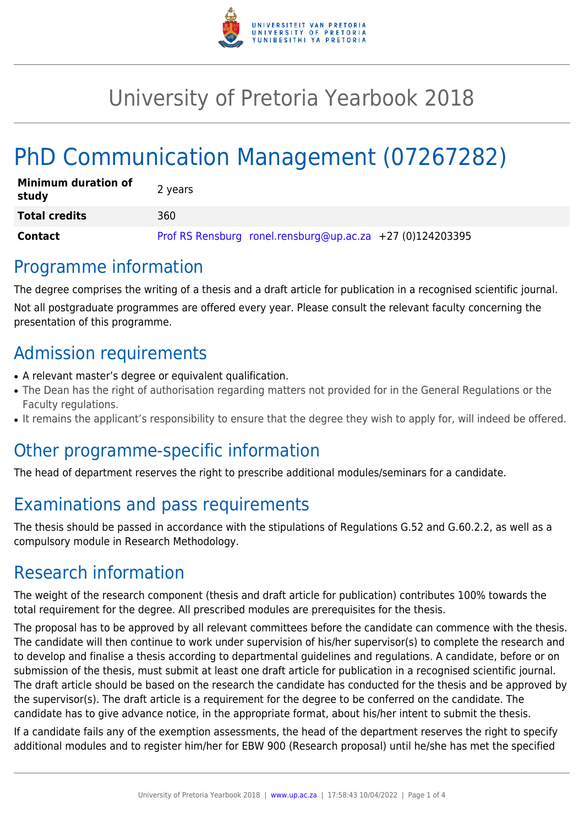

## University of Pretoria Yearbook 2018

# PhD Communication Management (07267282)

| <b>Minimum duration of</b><br>study | 2 years                                                   |
|-------------------------------------|-----------------------------------------------------------|
| <b>Total credits</b>                | 360                                                       |
| Contact                             | Prof RS Rensburg ronel.rensburg@up.ac.za +27 (0)124203395 |

#### Programme information

The degree comprises the writing of a thesis and a draft article for publication in a recognised scientific journal. Not all postgraduate programmes are offered every year. Please consult the relevant faculty concerning the presentation of this programme.

### Admission requirements

- A relevant master's degree or equivalent qualification.
- The Dean has the right of authorisation regarding matters not provided for in the General Regulations or the Faculty regulations.
- It remains the applicant's responsibility to ensure that the degree they wish to apply for, will indeed be offered.

#### Other programme-specific information

The head of department reserves the right to prescribe additional modules/seminars for a candidate.

## Examinations and pass requirements

The thesis should be passed in accordance with the stipulations of Regulations G.52 and G.60.2.2, as well as a compulsory module in Research Methodology.

### Research information

The weight of the research component (thesis and draft article for publication) contributes 100% towards the total requirement for the degree. All prescribed modules are prerequisites for the thesis.

The proposal has to be approved by all relevant committees before the candidate can commence with the thesis. The candidate will then continue to work under supervision of his/her supervisor(s) to complete the research and to develop and finalise a thesis according to departmental guidelines and regulations. A candidate, before or on submission of the thesis, must submit at least one draft article for publication in a recognised scientific journal. The draft article should be based on the research the candidate has conducted for the thesis and be approved by the supervisor(s). The draft article is a requirement for the degree to be conferred on the candidate. The candidate has to give advance notice, in the appropriate format, about his/her intent to submit the thesis.

If a candidate fails any of the exemption assessments, the head of the department reserves the right to specify additional modules and to register him/her for EBW 900 (Research proposal) until he/she has met the specified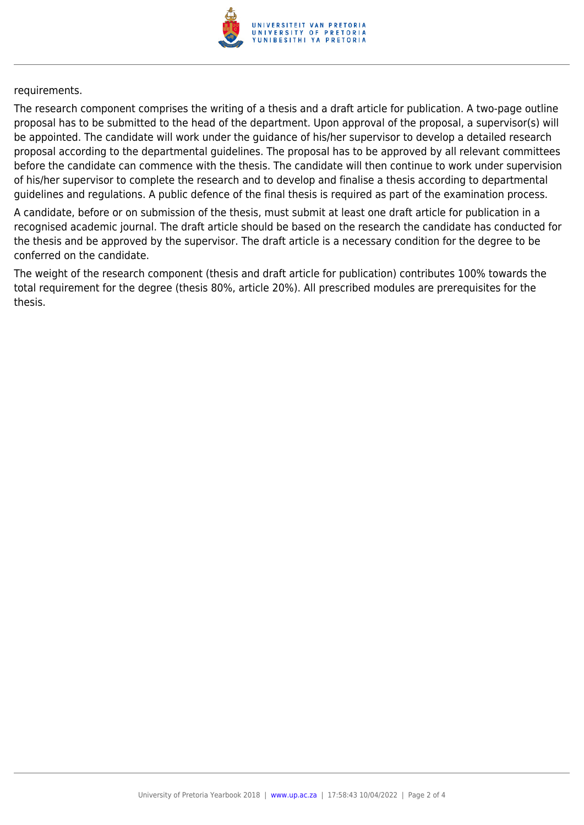

requirements.

The research component comprises the writing of a thesis and a draft article for publication. A two-page outline proposal has to be submitted to the head of the department. Upon approval of the proposal, a supervisor(s) will be appointed. The candidate will work under the guidance of his/her supervisor to develop a detailed research proposal according to the departmental guidelines. The proposal has to be approved by all relevant committees before the candidate can commence with the thesis. The candidate will then continue to work under supervision of his/her supervisor to complete the research and to develop and finalise a thesis according to departmental guidelines and regulations. A public defence of the final thesis is required as part of the examination process.

A candidate, before or on submission of the thesis, must submit at least one draft article for publication in a recognised academic journal. The draft article should be based on the research the candidate has conducted for the thesis and be approved by the supervisor. The draft article is a necessary condition for the degree to be conferred on the candidate.

The weight of the research component (thesis and draft article for publication) contributes 100% towards the total requirement for the degree (thesis 80%, article 20%). All prescribed modules are prerequisites for the thesis.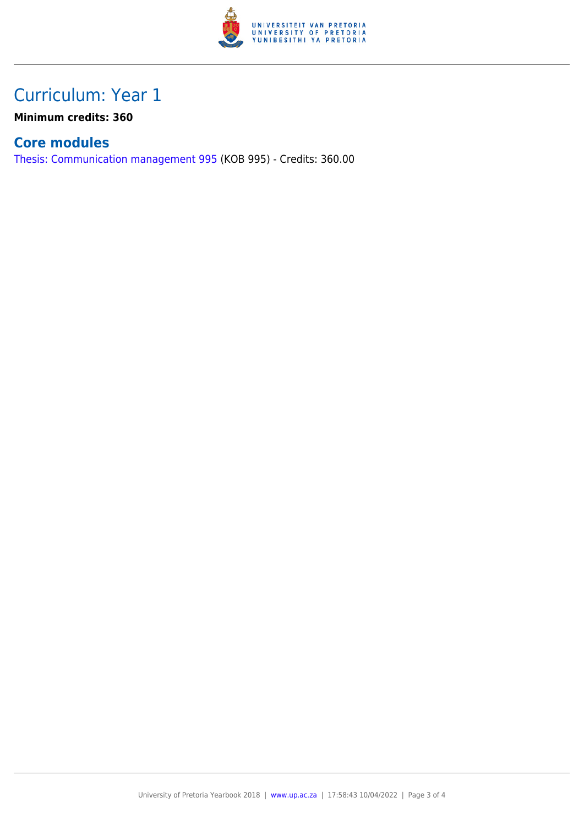

### Curriculum: Year 1

**Minimum credits: 360**

#### **Core modules**

[Thesis: Communication management 995](https://www.up.ac.za/faculty-of-education/yearbooks/2018/modules/view/KOB 995) (KOB 995) - Credits: 360.00